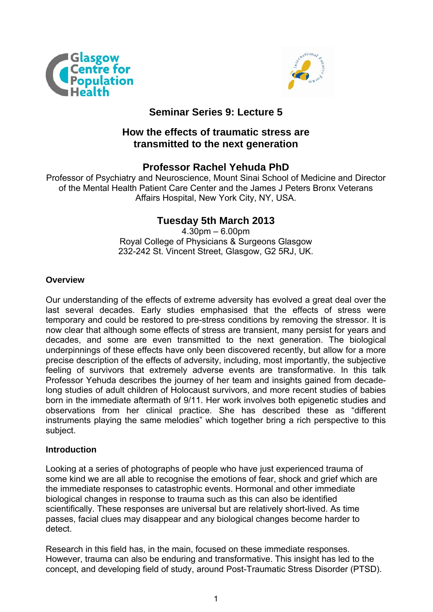



## **Seminar Series 9: Lecture 5**

## **How the effects of traumatic stress are transmitted to the next generation**

## **Professor Rachel Yehuda PhD**

Professor of Psychiatry and Neuroscience, Mount Sinai School of Medicine and Director of the Mental Health Patient Care Center and the James J Peters Bronx Veterans Affairs Hospital, New York City, NY, USA.

# **Tuesday 5th March 2013**

4.30pm – 6.00pm Royal College of Physicians & Surgeons Glasgow 232-242 St. Vincent Street, Glasgow, G2 5RJ, UK.

### **Overview**

Our understanding of the effects of extreme adversity has evolved a great deal over the last several decades. Early studies emphasised that the effects of stress were temporary and could be restored to pre-stress conditions by removing the stressor. It is now clear that although some effects of stress are transient, many persist for years and decades, and some are even transmitted to the next generation. The biological underpinnings of these effects have only been discovered recently, but allow for a more precise description of the effects of adversity, including, most importantly, the subjective feeling of survivors that extremely adverse events are transformative. In this talk Professor Yehuda describes the journey of her team and insights gained from decadelong studies of adult children of Holocaust survivors, and more recent studies of babies born in the immediate aftermath of 9/11. Her work involves both epigenetic studies and observations from her clinical practice. She has described these as "different instruments playing the same melodies" which together bring a rich perspective to this subject.

### **Introduction**

Looking at a series of photographs of people who have just experienced trauma of some kind we are all able to recognise the emotions of fear, shock and grief which are the immediate responses to catastrophic events. Hormonal and other immediate biological changes in response to trauma such as this can also be identified scientifically. These responses are universal but are relatively short-lived. As time passes, facial clues may disappear and any biological changes become harder to detect.

Research in this field has, in the main, focused on these immediate responses. However, trauma can also be enduring and transformative. This insight has led to the concept, and developing field of study, around Post-Traumatic Stress Disorder (PTSD).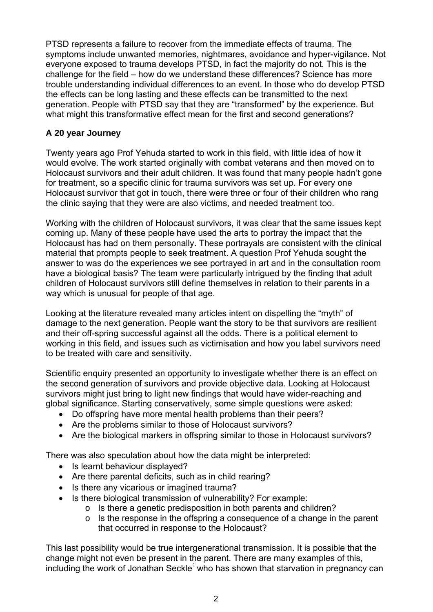PTSD represents a failure to recover from the immediate effects of trauma. The symptoms include unwanted memories, nightmares, avoidance and hyper-vigilance. Not everyone exposed to trauma develops PTSD, in fact the majority do not. This is the challenge for the field – how do we understand these differences? Science has more trouble understanding individual differences to an event. In those who do develop PTSD the effects can be long lasting and these effects can be transmitted to the next generation. People with PTSD say that they are "transformed" by the experience. But what might this transformative effect mean for the first and second generations?

### **A 20 year Journey**

Twenty years ago Prof Yehuda started to work in this field, with little idea of how it would evolve. The work started originally with combat veterans and then moved on to Holocaust survivors and their adult children. It was found that many people hadn't gone for treatment, so a specific clinic for trauma survivors was set up. For every one Holocaust survivor that got in touch, there were three or four of their children who rang the clinic saying that they were are also victims, and needed treatment too.

Working with the children of Holocaust survivors, it was clear that the same issues kept coming up. Many of these people have used the arts to portray the impact that the Holocaust has had on them personally. These portrayals are consistent with the clinical material that prompts people to seek treatment. A question Prof Yehuda sought the answer to was do the experiences we see portrayed in art and in the consultation room have a biological basis? The team were particularly intrigued by the finding that adult children of Holocaust survivors still define themselves in relation to their parents in a way which is unusual for people of that age.

Looking at the literature revealed many articles intent on dispelling the "myth" of damage to the next generation. People want the story to be that survivors are resilient and their off-spring successful against all the odds. There is a political element to working in this field, and issues such as victimisation and how you label survivors need to be treated with care and sensitivity.

Scientific enquiry presented an opportunity to investigate whether there is an effect on the second generation of survivors and provide objective data. Looking at Holocaust survivors might just bring to light new findings that would have wider-reaching and global significance. Starting conservatively, some simple questions were asked:

- Do offspring have more mental health problems than their peers?
- Are the problems similar to those of Holocaust survivors?
- Are the biological markers in offspring similar to those in Holocaust survivors?

There was also speculation about how the data might be interpreted:

- Is learnt behaviour displayed?
- Are there parental deficits, such as in child rearing?
- Is there any vicarious or imagined trauma?
- Is there biological transmission of vulnerability? For example:
	- o Is there a genetic predisposition in both parents and children?
	- $\circ$  Is the response in the offspring a consequence of a change in the parent that occurred in response to the Holocaust?

This last possibility would be true intergenerational transmission. It is possible that the change might not even be present in the parent. There are many examples of this, including the work of Jonathan Seckle<sup>1</sup> who has shown that starvation in pregnancy can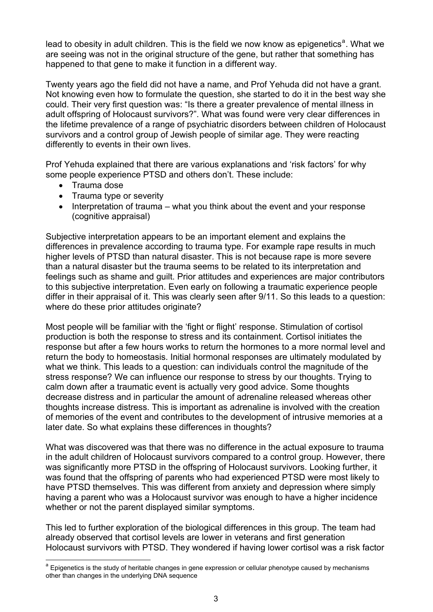le[a](#page-2-0)d to obesity in adult children. This is the field we now know as epigenetics<sup>a</sup>. What we are seeing was not in the original structure of the gene, but rather that something has happened to that gene to make it function in a different way.

Twenty years ago the field did not have a name, and Prof Yehuda did not have a grant. Not knowing even how to formulate the question, she started to do it in the best way she could. Their very first question was: "Is there a greater prevalence of mental illness in adult offspring of Holocaust survivors?". What was found were very clear differences in the lifetime prevalence of a range of psychiatric disorders between children of Holocaust survivors and a control group of Jewish people of similar age. They were reacting differently to events in their own lives.

Prof Yehuda explained that there are various explanations and 'risk factors' for why some people experience PTSD and others don't. These include:

• Trauma dose

1

- Trauma type or severity
- $\bullet$  Interpretation of trauma what you think about the event and your response (cognitive appraisal)

Subjective interpretation appears to be an important element and explains the differences in prevalence according to trauma type. For example rape results in much higher levels of PTSD than natural disaster. This is not because rape is more severe than a natural disaster but the trauma seems to be related to its interpretation and feelings such as shame and guilt. Prior attitudes and experiences are major contributors to this subjective interpretation. Even early on following a traumatic experience people differ in their appraisal of it. This was clearly seen after 9/11. So this leads to a question: where do these prior attitudes originate?

Most people will be familiar with the 'fight or flight' response. Stimulation of cortisol production is both the response to stress and its containment. Cortisol initiates the response but after a few hours works to return the hormones to a more normal level and return the body to homeostasis. Initial hormonal responses are ultimately modulated by what we think. This leads to a question: can individuals control the magnitude of the stress response? We can influence our response to stress by our thoughts. Trying to calm down after a traumatic event is actually very good advice. Some thoughts decrease distress and in particular the amount of adrenaline released whereas other thoughts increase distress. This is important as adrenaline is involved with the creation of memories of the event and contributes to the development of intrusive memories at a later date. So what explains these differences in thoughts?

What was discovered was that there was no difference in the actual exposure to trauma in the adult children of Holocaust survivors compared to a control group. However, there was significantly more PTSD in the offspring of Holocaust survivors. Looking further, it was found that the offspring of parents who had experienced PTSD were most likely to have PTSD themselves. This was different from anxiety and depression where simply having a parent who was a Holocaust survivor was enough to have a higher incidence whether or not the parent displayed similar symptoms.

This led to further exploration of the biological differences in this group. The team had already observed that cortisol levels are lower in veterans and first generation Holocaust survivors with PTSD. They wondered if having lower cortisol was a risk factor

<span id="page-2-0"></span><sup>&</sup>lt;sup>a</sup> Epigenetics is the study of heritable changes in gene expression or cellular phenotype caused by mechanisms other than changes in the underlying DNA sequence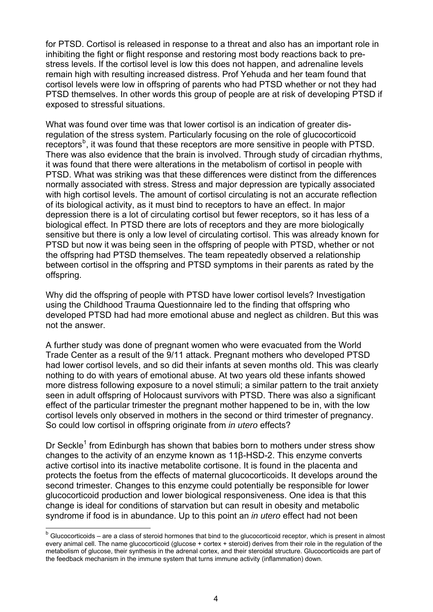for PTSD. Cortisol is released in response to a threat and also has an important role in inhibiting the fight or flight response and restoring most body reactions back to prestress levels. If the cortisol level is low this does not happen, and adrenaline levels remain high with resulting increased distress. Prof Yehuda and her team found that cortisol levels were low in offspring of parents who had PTSD whether or not they had PTSD themselves. In other words this group of people are at risk of developing PTSD if exposed to stressful situations.

What was found over time was that lower cortisol is an indication of greater disregulation of the stress system. Particularly focusing on the role of glucocorticoid receptors<sup>[b](#page-3-0)</sup>, it was found that these receptors are more sensitive in people with PTSD. There was also evidence that the brain is involved. Through study of circadian rhythms, it was found that there were alterations in the metabolism of cortisol in people with PTSD. What was striking was that these differences were distinct from the differences normally associated with stress. Stress and major depression are typically associated with high cortisol levels. The amount of cortisol circulating is not an accurate reflection of its biological activity, as it must bind to receptors to have an effect. In major depression there is a lot of circulating cortisol but fewer receptors, so it has less of a biological effect. In PTSD there are lots of receptors and they are more biologically sensitive but there is only a low level of circulating cortisol. This was already known for PTSD but now it was being seen in the offspring of people with PTSD, whether or not the offspring had PTSD themselves. The team repeatedly observed a relationship between cortisol in the offspring and PTSD symptoms in their parents as rated by the offspring.

Why did the offspring of people with PTSD have lower cortisol levels? Investigation using the Childhood Trauma Questionnaire led to the finding that offspring who developed PTSD had had more emotional abuse and neglect as children. But this was not the answer.

A further study was done of pregnant women who were evacuated from the World Trade Center as a result of the 9/11 attack. Pregnant mothers who developed PTSD had lower cortisol levels, and so did their infants at seven months old. This was clearly nothing to do with years of emotional abuse. At two years old these infants showed more distress following exposure to a novel stimuli; a similar pattern to the trait anxiety seen in adult offspring of Holocaust survivors with PTSD. There was also a significant effect of the particular trimester the pregnant mother happened to be in, with the low cortisol levels only observed in mothers in the second or third trimester of pregnancy. So could low cortisol in offspring originate from *in utero* effects?

Dr Seckle<sup>1</sup> from Edinburgh has shown that babies born to mothers under stress show changes to the activity of an enzyme known as 11β-HSD-2. This enzyme converts active cortisol into its inactive metabolite cortisone. It is found in the placenta and protects the foetus from the effects of maternal glucocorticoids. It develops around the second trimester. Changes to this enzyme could potentially be responsible for lower glucocorticoid production and lower biological responsiveness. One idea is that this change is ideal for conditions of starvation but can result in obesity and metabolic syndrome if food is in abundance. Up to this point an *in utero* effect had not been

-

<span id="page-3-0"></span> $<sup>b</sup>$  Glucocorticoids – are a class of steroid hormones that bind to the glucocorticoid receptor, which is present in almost</sup> every animal cell. The name glucocorticoid (glucose + cortex + steroid) derives from their role in the regulation of the metabolism of glucose, their synthesis in the adrenal cortex, and their steroidal structure. Glucocorticoids are part of the feedback mechanism in the immune system that turns immune activity (inflammation) down.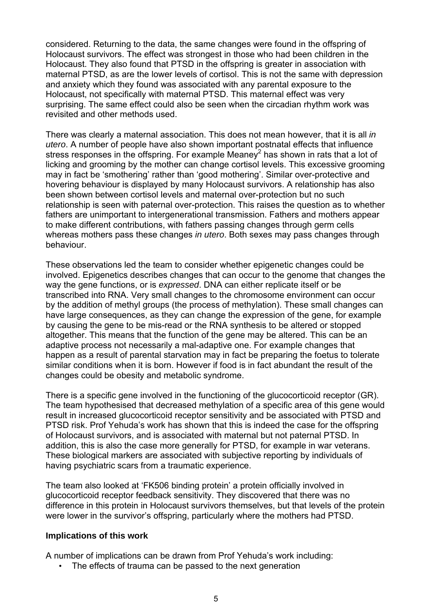considered. Returning to the data, the same changes were found in the offspring of Holocaust survivors. The effect was strongest in those who had been children in the Holocaust. They also found that PTSD in the offspring is greater in association with maternal PTSD, as are the lower levels of cortisol. This is not the same with depression and anxiety which they found was associated with any parental exposure to the Holocaust, not specifically with maternal PTSD. This maternal effect was very surprising. The same effect could also be seen when the circadian rhythm work was revisited and other methods used.

There was clearly a maternal association. This does not mean however, that it is all *in utero*. A number of people have also shown important postnatal effects that influence stress responses in the offspring. For example Meaney<sup>2</sup> has shown in rats that a lot of licking and grooming by the mother can change cortisol levels. This excessive grooming may in fact be 'smothering' rather than 'good mothering'. Similar over-protective and hovering behaviour is displayed by many Holocaust survivors. A relationship has also been shown between cortisol levels and maternal over-protection but no such relationship is seen with paternal over-protection. This raises the question as to whether fathers are unimportant to intergenerational transmission. Fathers and mothers appear to make different contributions, with fathers passing changes through germ cells whereas mothers pass these changes *in utero*. Both sexes may pass changes through behaviour.

These observations led the team to consider whether epigenetic changes could be involved. Epigenetics describes changes that can occur to the genome that changes the way the gene functions, or is *expressed*. DNA can either replicate itself or be transcribed into RNA. Very small changes to the chromosome environment can occur by the addition of methyl groups (the process of methylation). These small changes can have large consequences, as they can change the expression of the gene, for example by causing the gene to be mis-read or the RNA synthesis to be altered or stopped altogether. This means that the function of the gene may be altered. This can be an adaptive process not necessarily a mal-adaptive one. For example changes that happen as a result of parental starvation may in fact be preparing the foetus to tolerate similar conditions when it is born. However if food is in fact abundant the result of the changes could be obesity and metabolic syndrome.

There is a specific gene involved in the functioning of the glucocorticoid receptor (GR). The team hypothesised that decreased methylation of a specific area of this gene would result in increased glucocorticoid receptor sensitivity and be associated with PTSD and PTSD risk. Prof Yehuda's work has shown that this is indeed the case for the offspring of Holocaust survivors, and is associated with maternal but not paternal PTSD. In addition, this is also the case more generally for PTSD, for example in war veterans. These biological markers are associated with subjective reporting by individuals of having psychiatric scars from a traumatic experience.

The team also looked at 'FK506 binding protein' a protein officially involved in glucocorticoid receptor feedback sensitivity. They discovered that there was no difference in this protein in Holocaust survivors themselves, but that levels of the protein were lower in the survivor's offspring, particularly where the mothers had PTSD.

#### **Implications of this work**

A number of implications can be drawn from Prof Yehuda's work including:

• The effects of trauma can be passed to the next generation